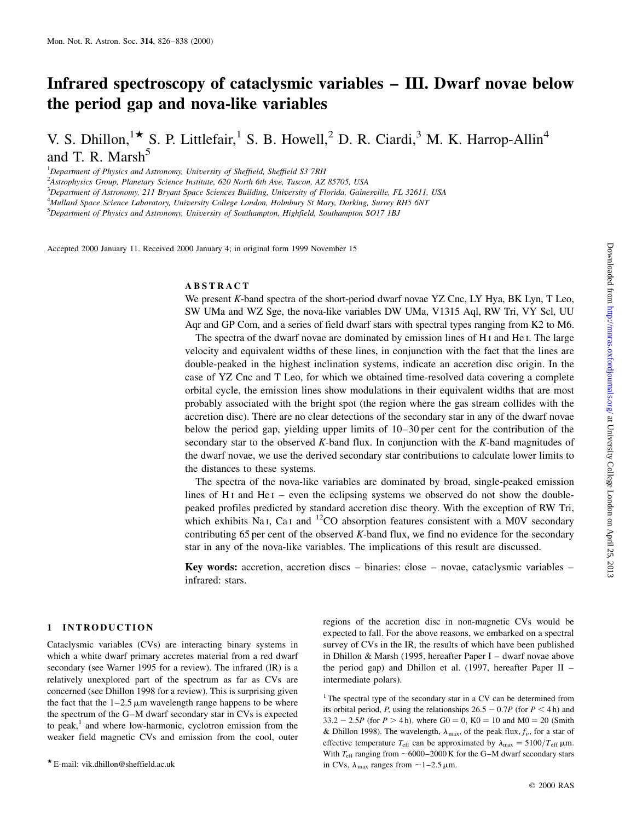# Infrared spectroscopy of cataclysmic variables - III. Dwarf novae below the period gap and nova-like variables

V. S. Dhillon,  $\mathbf{R}^*$  S. P. Littlefair, <sup>1</sup> S. B. Howell, <sup>2</sup> D. R. Ciardi, <sup>3</sup> M. K. Harrop-Allin<sup>4</sup> and T. R. Marsh $<sup>5</sup>$ </sup>

<sup>1</sup>Department of Physics and Astronomy, University of Sheffield, Sheffield S3 7RH

<sup>2</sup> Astrophysics Group, Planetary Science Institute, 620 North 6th Ave, Tuscon, AZ 85705, USA

3 Department of Astronomy, 211 Bryant Space Sciences Building, University of Florida, Gainesville, FL 32611, USA

<sup>4</sup>Mullard Space Science Laboratory, University College London, Holmbury St Mary, Dorking, Surrey RH5 6NT

<sup>5</sup>Department of Physics and Astronomy, University of Southampton, Highfield, Southampton SO17 1BJ

Accepted 2000 January 11. Received 2000 January 4; in original form 1999 November 15

## ABSTRACT

We present K-band spectra of the short-period dwarf novae YZ Cnc, LY Hya, BK Lyn, T Leo, SW UMa and WZ Sge, the nova-like variables DW UMa, V1315 Aql, RW Tri, VY Scl, UU Aqr and GP Com, and a series of field dwarf stars with spectral types ranging from K2 to M6.

The spectra of the dwarf novae are dominated by emission lines of H i and He i. The large velocity and equivalent widths of these lines, in conjunction with the fact that the lines are double-peaked in the highest inclination systems, indicate an accretion disc origin. In the case of YZ Cnc and T Leo, for which we obtained time-resolved data covering a complete orbital cycle, the emission lines show modulations in their equivalent widths that are most probably associated with the bright spot (the region where the gas stream collides with the accretion disc). There are no clear detections of the secondary star in any of the dwarf novae below the period gap, yielding upper limits of  $10-30$  per cent for the contribution of the secondary star to the observed K-band flux. In conjunction with the K-band magnitudes of the dwarf novae, we use the derived secondary star contributions to calculate lower limits to the distances to these systems.

The spectra of the nova-like variables are dominated by broad, single-peaked emission lines of H<sub>I</sub> and He<sub>I</sub>  $-$  even the eclipsing systems we observed do not show the doublepeaked profiles predicted by standard accretion disc theory. With the exception of RW Tri, which exhibits Na<sub>I</sub>, Ca<sub>I</sub> and <sup>12</sup>CO absorption features consistent with a M0V secondary contributing 65 per cent of the observed K-band flux, we find no evidence for the secondary star in any of the nova-like variables. The implications of this result are discussed.

Key words: accretion, accretion discs  $-\frac{1}{2}$  binaries: close  $-\frac{1}{2}$  novae, cataclysmic variables  $-\frac{1}{2}$ infrared: stars.

## 1 INTRODUCTION

Cataclysmic variables (CVs) are interacting binary systems in which a white dwarf primary accretes material from a red dwarf secondary (see Warner 1995 for a review). The infrared (IR) is a relatively unexplored part of the spectrum as far as CVs are concerned (see Dhillon 1998 for a review). This is surprising given the fact that the  $1-2.5 \mu m$  wavelength range happens to be where the spectrum of the G–M dwarf secondary star in CVs is expected to peak, $<sup>1</sup>$  and where low-harmonic, cyclotron emission from the</sup> weaker field magnetic CVs and emission from the cool, outer regions of the accretion disc in non-magnetic CVs would be expected to fall. For the above reasons, we embarked on a spectral survey of CVs in the IR, the results of which have been published in Dhillon & Marsh (1995, hereafter Paper I  $-$  dwarf novae above the period gap) and Dhillon et al. (1997, hereafter Paper II  $$ intermediate polars).

 $1$ <sup>1</sup> The spectral type of the secondary star in a CV can be determined from its orbital period, P, using the relationships  $26.5 - 0.7P$  (for  $P < 4$  h) and  $33.2 - 2.5P$  (for  $P > 4$  h), where  $G0 = 0$ ,  $K0 = 10$  and  $M0 = 20$  (Smith & Dhillon 1998). The wavelength,  $\lambda_{\text{max}}$ , of the peak flux,  $f_{\nu}$ , for a star of effective temperature  $T_{\text{eff}}$  can be approximated by  $\lambda_{\text{max}} = 5100/T_{\text{eff}}$  µm. With  $T_{\text{eff}}$  ranging from  $\sim$  6000–2000 K for the G–M dwarf secondary stars in CVs,  $\lambda_{\text{max}}$  ranges from  $\sim$  1–2.5  $\mu$ m.

 $\star$  E-mail: vik.dhillon@sheffield.ac.uk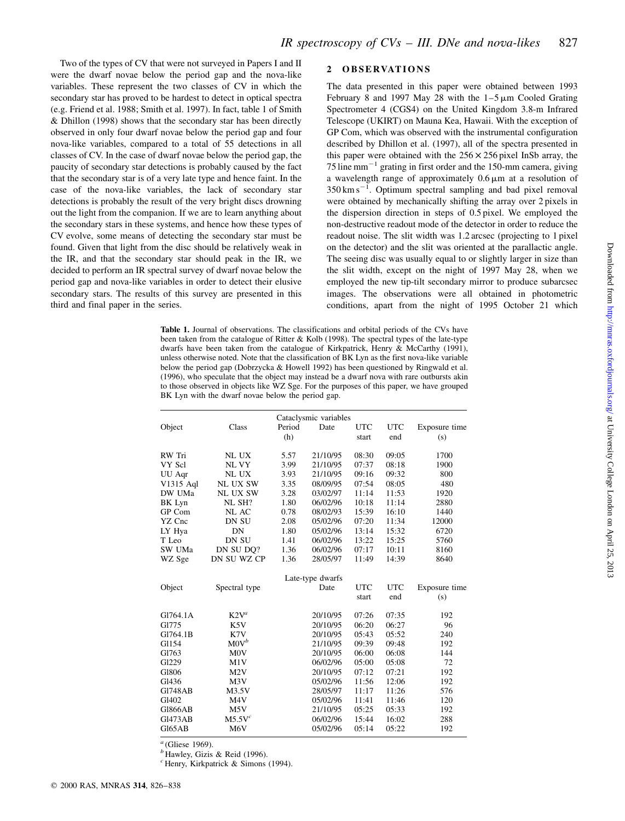2 OBSERVATIONS

The data presented in this paper were obtained between 1993 February 8 and 1997 May 28 with the  $1-5 \mu m$  Cooled Grating Spectrometer 4 (CGS4) on the United Kingdom 3.8-m Infrared Telescope (UKIRT) on Mauna Kea, Hawaii. With the exception of GP Com, which was observed with the instrumental configuration described by Dhillon et al. (1997), all of the spectra presented in this paper were obtained with the  $256 \times 256$  pixel InSb array, the 75 line mm<sup> $-1$ </sup> grating in first order and the 150-mm camera, giving a wavelength range of approximately  $0.6 \mu m$  at a resolution of  $350 \text{ km s}^{-1}$ . Optimum spectral sampling and bad pixel removal were obtained by mechanically shifting the array over 2 pixels in the dispersion direction in steps of 0.5 pixel. We employed the non-destructive readout mode of the detector in order to reduce the readout noise. The slit width was 1.2 arcsec (projecting to 1 pixel on the detector) and the slit was oriented at the parallactic angle. The seeing disc was usually equal to or slightly larger in size than the slit width, except on the night of 1997 May 28, when we employed the new tip-tilt secondary mirror to produce subarcsec images. The observations were all obtained in photometric conditions, apart from the night of 1995 October 21 which

Table 1. Journal of observations. The classifications and orbital periods of the CVs have been taken from the catalogue of Ritter & Kolb (1998). The spectral types of the late-type dwarfs have been taken from the catalogue of Kirkpatrick, Henry & McCarthy (1991), unless otherwise noted. Note that the classification of BK Lyn as the first nova-like variable below the period gap (Dobrzycka & Howell 1992) has been questioned by Ringwald et al. (1996), who speculate that the object may instead be a dwarf nova with rare outbursts akin to those observed in objects like WZ Sge. For the purposes of this paper, we have grouped BK Lyn with the dwarf novae below the period gap.

|                |                    |        | Cataclysmic variables |            |            |               |
|----------------|--------------------|--------|-----------------------|------------|------------|---------------|
| Object         | Class              | Period | Date                  | <b>UTC</b> | <b>UTC</b> | Exposure time |
|                |                    | (h)    |                       | start      | end        | (s)           |
|                |                    |        |                       |            |            |               |
| RW Tri         | NL UX              | 5.57   | 21/10/95              | 08:30      | 09:05      | 1700          |
| VY Scl         | NL VY              | 3.99   | 21/10/95              | 07:37      | 08:18      | 1900          |
| UU Aqr         | NL UX              | 3.93   | 21/10/95              | 09:16      | 09:32      | 800           |
| V1315 Aql      | <b>NL UX SW</b>    | 3.35   | 08/09/95              | 07:54      | 08:05      | 480           |
| DW UMa         | NL UX SW           | 3.28   | 03/02/97              | 11:14      | 11:53      | 1920          |
| BK Lyn         | NL SH?             | 1.80   | 06/02/96              | 10:18      | 11:14      | 2880          |
| GP Com         | NL AC              | 0.78   | 08/02/93              | 15:39      | 16:10      | 1440          |
| YZ Cnc         | DN SU              | 2.08   | 05/02/96              | 07:20      | 11:34      | 12000         |
| LY Hya         | DN                 | 1.80   | 05/02/96              | 13:14      | 15:32      | 6720          |
| T Leo          | DN SU              | 1.41   | 06/02/96              | 13:22      | 15:25      | 5760          |
| SW UMa         | DN SU DO?          | 1.36   | 06/02/96              | 07:17      | 10:11      | 8160          |
| WZ Sge         | DN SU WZ CP        | 1.36   | 28/05/97              | 11:49      | 14:39      | 8640          |
|                |                    |        | Late-type dwarfs      |            |            |               |
| Object         | Spectral type      |        | Date                  | <b>UTC</b> | <b>UTC</b> | Exposure time |
|                |                    |        |                       | start      | end        | (s)           |
|                |                    |        |                       |            |            |               |
| G1764.1A       | $K2V^a$            |        | 20/10/95              | 07:26      | 07:35      | 192           |
| G1775          | K <sub>5</sub> V   |        | 20/10/95              | 06:20      | 06:27      | 96            |
| G1764.1B       | K7V                |        | 20/10/95              | 05:43      | 05:52      | 240           |
| G1154          | $M0V^b$            |        | 21/10/95              | 09:39      | 09:48      | 192           |
| G1763          | M <sub>0</sub> V   |        | 20/10/95              | 06:00      | 06:08      | 144           |
| Gl229          | M1V                |        | 06/02/96              | 05:00      | 05:08      | 72            |
| G1806          | M <sub>2</sub> V   |        | 20/10/95              | 07:12      | 07:21      | 192           |
| Gl436          | M <sub>3</sub> V   |        | 05/02/96              | 11:56      | 12:06      | 192           |
| <b>G1748AB</b> | M3.5V              |        | 28/05/97              | 11:17      | 11:26      | 576           |
| G1402          | M4V                |        | 05/02/96              | 11:41      | 11:46      | 120           |
| <b>G1866AB</b> | M5V                |        | 21/10/95              | 05:25      | 05:33      | 192           |
| <b>G1473AB</b> | M5.5V <sup>c</sup> |        | 06/02/96              | 15:44      | 16:02      | 288           |
| G165AB         | M6V                |        | 05/02/96              | 05:14      | 05:22      | 192           |

 $a$  (Gliese 1969).

Two of the types of CV that were not surveyed in Papers I and II were the dwarf novae below the period gap and the nova-like variables. These represent the two classes of CV in which the secondary star has proved to be hardest to detect in optical spectra (e.g. Friend et al. 1988; Smith et al. 1997). In fact, table 1 of Smith & Dhillon (1998) shows that the secondary star has been directly observed in only four dwarf novae below the period gap and four nova-like variables, compared to a total of 55 detections in all classes of CV. In the case of dwarf novae below the period gap, the paucity of secondary star detections is probably caused by the fact that the secondary star is of a very late type and hence faint. In the case of the nova-like variables, the lack of secondary star detections is probably the result of the very bright discs drowning out the light from the companion. If we are to learn anything about the secondary stars in these systems, and hence how these types of CV evolve, some means of detecting the secondary star must be found. Given that light from the disc should be relatively weak in the IR, and that the secondary star should peak in the IR, we decided to perform an IR spectral survey of dwarf novae below the period gap and nova-like variables in order to detect their elusive secondary stars. The results of this survey are presented in this

 $<sup>b</sup>$  Hawley, Gizis & Reid (1996).</sup>

 $c$  Henry, Kirkpatrick & Simons (1994).

third and final paper in the series.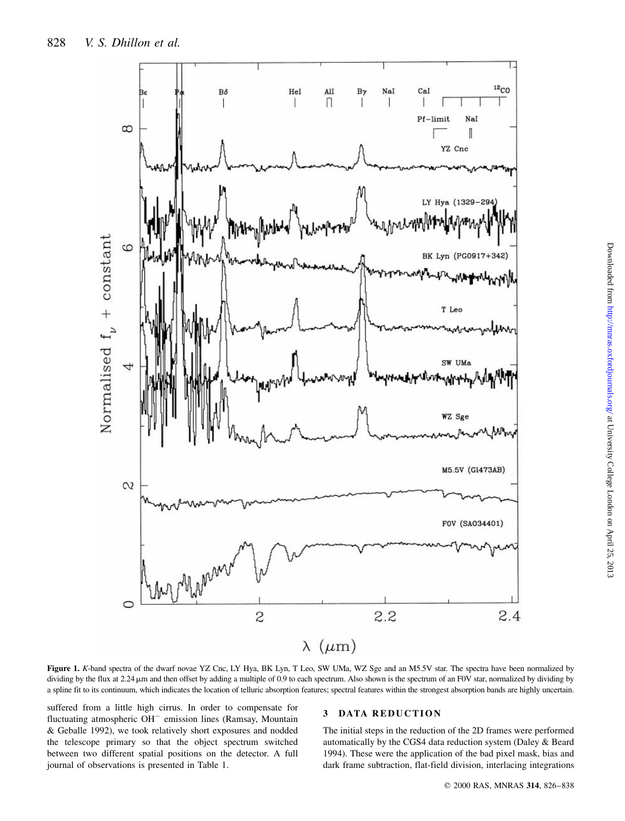

Figure 1. K-band spectra of the dwarf novae YZ Cnc, LY Hya, BK Lyn, T Leo, SW UMa, WZ Sge and an M5.5V star. The spectra have been normalized by dividing by the flux at 2.24  $\mu$ m and then offset by adding a multiple of 0.9 to each spectrum. Also shown is the spectrum of an F0V star, normalized by dividing by a spline fit to its continuum, which indicates the location of telluric absorption features; spectral features within the strongest absorption bands are highly uncertain.

suffered from a little high cirrus. In order to compensate for fluctuating atmospheric  $OH^-$  emission lines (Ramsay, Mountain & Geballe 1992), we took relatively short exposures and nodded the telescope primary so that the object spectrum switched between two different spatial positions on the detector. A full journal of observations is presented in Table 1.

#### 3 DATA REDUCTION

The initial steps in the reduction of the 2D frames were performed automatically by the CGS4 data reduction system (Daley & Beard 1994). These were the application of the bad pixel mask, bias and dark frame subtraction, flat-field division, interlacing integrations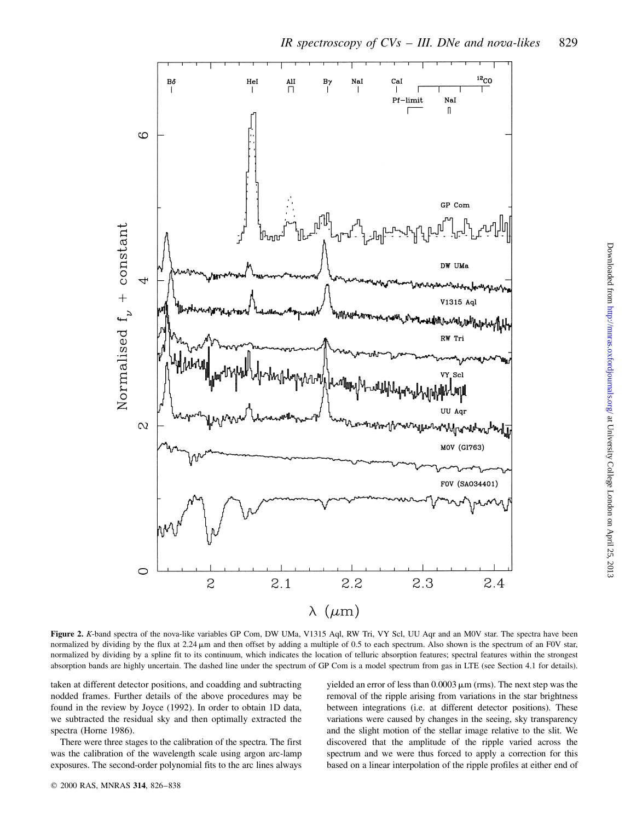

Figure 2. K-band spectra of the nova-like variables GP Com, DW UMa, V1315 Aql, RW Tri, VY Scl, UU Aqr and an M0V star. The spectra have been normalized by dividing by the flux at 2.24  $\mu$ m and then offset by adding a multiple of 0.5 to each spectrum. Also shown is the spectrum of an F0V star, normalized by dividing by a spline fit to its continuum, which indicates the location of telluric absorption features; spectral features within the strongest absorption bands are highly uncertain. The dashed line under the spectrum of GP Com is a model spectrum from gas in LTE (see Section 4.1 for details).

taken at different detector positions, and coadding and subtracting nodded frames. Further details of the above procedures may be found in the review by Joyce (1992). In order to obtain 1D data, we subtracted the residual sky and then optimally extracted the spectra (Horne 1986).

There were three stages to the calibration of the spectra. The first was the calibration of the wavelength scale using argon arc-lamp exposures. The second-order polynomial fits to the arc lines always yielded an error of less than  $0.0003 \,\mathrm{\upmu m}$  (rms). The next step was the removal of the ripple arising from variations in the star brightness between integrations (i.e. at different detector positions). These variations were caused by changes in the seeing, sky transparency and the slight motion of the stellar image relative to the slit. We discovered that the amplitude of the ripple varied across the spectrum and we were thus forced to apply a correction for this based on a linear interpolation of the ripple profiles at either end of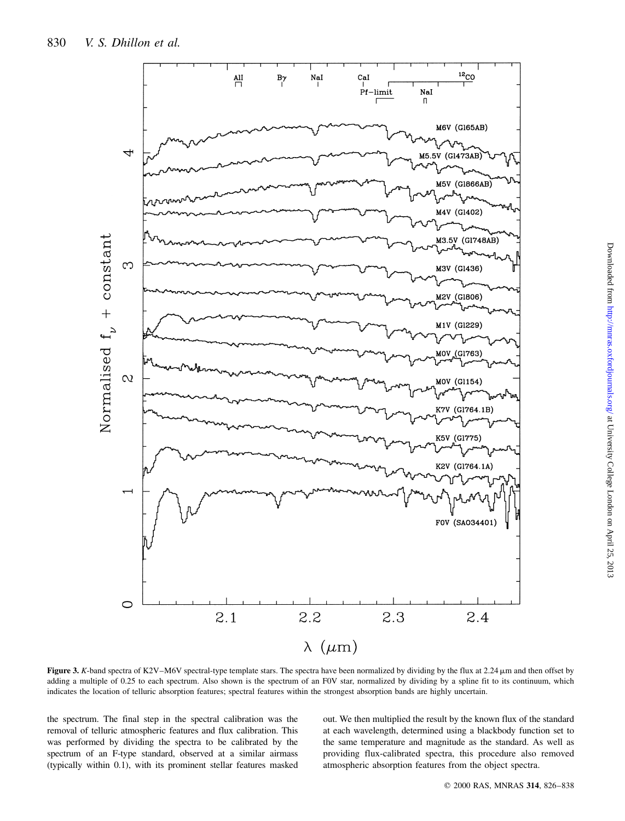

Downloaded from http://mnras.oxfordjournals.org/ at University College London on April 25, 2013 Downloaded from <http://mnras.oxfordjournals.org/> at University College London on April 25, 2013

Figure 3. K-band spectra of K2V-M6V spectral-type template stars. The spectra have been normalized by dividing by the flux at 2.24  $\mu$ m and then offset by adding a multiple of 0.25 to each spectrum. Also shown is the spectrum of an F0V star, normalized by dividing by a spline fit to its continuum, which indicates the location of telluric absorption features; spectral features within the strongest absorption bands are highly uncertain.

the spectrum. The final step in the spectral calibration was the removal of telluric atmospheric features and flux calibration. This was performed by dividing the spectra to be calibrated by the spectrum of an F-type standard, observed at a similar airmass (typically within 0.1), with its prominent stellar features masked out. We then multiplied the result by the known flux of the standard at each wavelength, determined using a blackbody function set to the same temperature and magnitude as the standard. As well as providing flux-calibrated spectra, this procedure also removed atmospheric absorption features from the object spectra.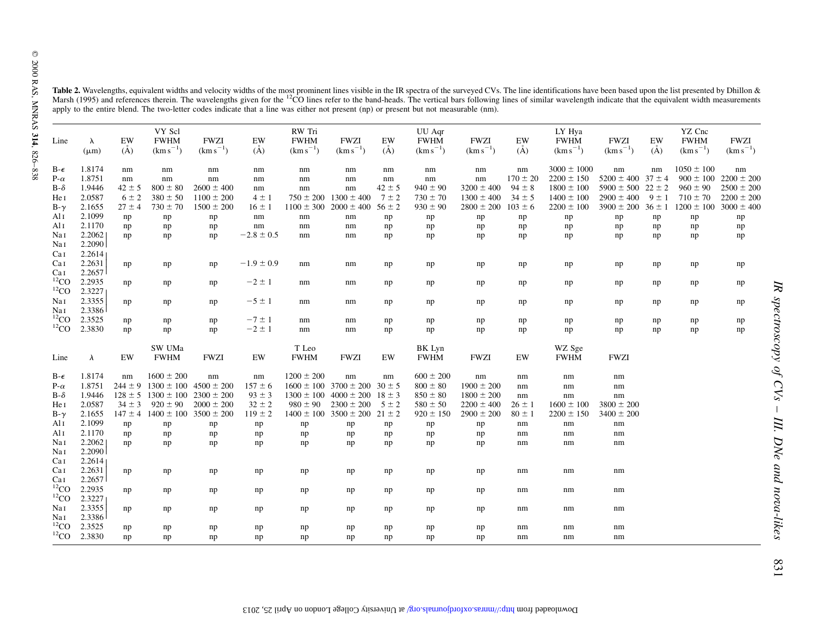|                |                        |               | Table 2. Wavelengths, equivalent widths and velocity widths of the most prominent lines visible in the IR spectra of the surveyed CVs. The line identifications have been based upon the list presented by Dhillon & |                              |                |                                        |                                          |            | apply to the entire blend. The two-letter codes indicate that a line was either not present (np) or present but not measurable (nm). |                              |               | Marsh (1995) and references therein. The wavelengths given for the <sup>12</sup> CO lines refer to the band-heads. The vertical bars following lines of similar wavelength indicate that the equivalent width measurements |                              |                  |                                        |                              |
|----------------|------------------------|---------------|----------------------------------------------------------------------------------------------------------------------------------------------------------------------------------------------------------------------|------------------------------|----------------|----------------------------------------|------------------------------------------|------------|--------------------------------------------------------------------------------------------------------------------------------------|------------------------------|---------------|----------------------------------------------------------------------------------------------------------------------------------------------------------------------------------------------------------------------------|------------------------------|------------------|----------------------------------------|------------------------------|
| Line           | $\lambda$<br>$(\mu m)$ | EW<br>$(\AA)$ | VY Scl<br><b>FWHM</b><br>$(km s^{-1})$                                                                                                                                                                               | <b>FWZI</b><br>$(km s^{-1})$ | EW<br>$(\AA)$  | RW Tri<br><b>FWHM</b><br>$(km s^{-1})$ | <b>FWZI</b><br>$(km s^{-1})$             | EW<br>(A)  | UU Aqr<br><b>FWHM</b><br>$(km s^{-1})$                                                                                               | <b>FWZI</b><br>$(km s^{-1})$ | EW<br>$(\AA)$ | LY Hya<br><b>FWHM</b><br>$(km s^{-1})$                                                                                                                                                                                     | <b>FWZI</b><br>$(km s^{-1})$ | EW<br>$\rm(\AA)$ | YZ Cnc<br><b>FWHM</b><br>$(km s^{-1})$ | <b>FWZI</b><br>$(km s^{-1})$ |
| $B-\epsilon$   | 1.8174                 | $\rm{nm}$     | nm                                                                                                                                                                                                                   | nm                           | nm             | nm                                     | nm                                       | nm         | nm                                                                                                                                   | nm                           | nm            | $3000 \pm 1000$                                                                                                                                                                                                            | nm                           | nm               | $1050 \pm 100$                         | nm                           |
| $P-\alpha$     | 1.8751                 | $\rm{nm}$     | $\rm{nm}$                                                                                                                                                                                                            | $\rm{nm}$                    | $\rm{nm}$      | $\rm{nm}$                              | $\rm{nm}$                                | nm         | nm                                                                                                                                   | nm                           | $170 \pm 20$  | $2200 \pm 150$                                                                                                                                                                                                             | $5200 \pm 400$ 37 $\pm 4$    |                  | $900 \pm 100$                          | $2200 \pm 200$               |
| $B-\delta$     | 1.9446                 | $42 \pm 5$    | $800 \pm 80$                                                                                                                                                                                                         | $2600 \pm 400$               | nm             | nm                                     | nm                                       | $42 \pm 5$ | $940 \pm 90$                                                                                                                         | $3200 \pm 400$               | $94 \pm 8$    | $1800 \pm 100$                                                                                                                                                                                                             | $5900 \pm 500$ 22 $\pm$ 2    |                  | $960 \pm 90$                           | $2500 \pm 200$               |
| He I           | 2.0587                 | $6 \pm 2$     | $380 \pm 50$                                                                                                                                                                                                         | $1100 \pm 200$               | $4 \pm 1$      |                                        | $750 \pm 200$ 1300 $\pm$ 400             | $7 \pm 2$  | $730 \pm 70$                                                                                                                         | $1300 \pm 400$               | $34 \pm 5$    | $1400 \pm 100$                                                                                                                                                                                                             | $2900 \pm 400$               | $9 \pm 1$        | $710 \pm 70$                           | $2200 \pm 200$               |
| $B-\gamma$     | 2.1655                 | $27 \pm 4$    | $730 \pm 70$                                                                                                                                                                                                         | $1500 \pm 200$               | $16 \pm 1$     |                                        | $1100 \pm 300$ 2000 $\pm 400$            | $56 \pm 2$ | $930 \pm 90$                                                                                                                         | $2800 \pm 200$               | $103 \pm 6$   | $2200 \pm 100$                                                                                                                                                                                                             | $3900 \pm 200$ 36 $\pm$ 1    |                  | $1200 \pm 100$                         | $3000 \pm 400$               |
| Al I           | 2.1099                 | np            | np                                                                                                                                                                                                                   | np                           | $\rm{nm}$      | nm                                     | nm                                       | np         | np                                                                                                                                   | np                           | np            | ${\tt np}$                                                                                                                                                                                                                 | $\rm np$                     | np               | np                                     | $\mathbf{np}$                |
| Ali            | 2.1170                 | np            | np                                                                                                                                                                                                                   | np                           | nm             | nm                                     | nm                                       | np         | np                                                                                                                                   | np                           | np            | ${\tt np}$                                                                                                                                                                                                                 | np                           | np               | np                                     | $\rm np$                     |
| Nai            | 2.2062                 | np            | np                                                                                                                                                                                                                   | np                           | $-2.8 \pm 0.5$ | nm                                     | nm                                       | np         | np                                                                                                                                   | np                           | np            | np                                                                                                                                                                                                                         | np                           | np               | np                                     | np                           |
| NaI            | 2.2090                 |               |                                                                                                                                                                                                                      |                              |                |                                        |                                          |            |                                                                                                                                      |                              |               |                                                                                                                                                                                                                            |                              |                  |                                        |                              |
| CaI            | 2.2614                 |               |                                                                                                                                                                                                                      |                              |                |                                        |                                          |            |                                                                                                                                      |                              |               |                                                                                                                                                                                                                            |                              |                  |                                        |                              |
| CaI            | 2.2631                 | np            | np                                                                                                                                                                                                                   | np                           | $-1.9 \pm 0.9$ | nm                                     | nm                                       | np         | np                                                                                                                                   | np                           | np            | np                                                                                                                                                                                                                         | np                           | np               | np                                     | np                           |
| Ca 1           | 2.2657                 |               |                                                                                                                                                                                                                      |                              |                |                                        |                                          |            |                                                                                                                                      |                              |               |                                                                                                                                                                                                                            |                              |                  |                                        |                              |
| ${}^{12}CO$    | 2.2935                 | np            | np                                                                                                                                                                                                                   | np                           | $-2 \pm 1$     | nm                                     | nm                                       | np         | np                                                                                                                                   | np                           | np            | np                                                                                                                                                                                                                         | np                           | np               | np                                     | np                           |
| ${}^{12}CO$    | 2.3227                 |               |                                                                                                                                                                                                                      |                              |                |                                        |                                          |            |                                                                                                                                      |                              |               |                                                                                                                                                                                                                            |                              |                  |                                        |                              |
| Nai            | 2.3355                 | np            | np                                                                                                                                                                                                                   | np                           | $-5 \pm 1$     | nm                                     | nm                                       | np         | np                                                                                                                                   | np                           | np            | np                                                                                                                                                                                                                         | np                           | np               | np                                     | np                           |
| Nai            | 2.3386                 |               |                                                                                                                                                                                                                      |                              |                |                                        |                                          |            |                                                                                                                                      |                              |               |                                                                                                                                                                                                                            |                              |                  |                                        |                              |
| $^{12}CO$      | 2.3525                 | np            | np                                                                                                                                                                                                                   | np                           | $-7 \pm 1$     | nm                                     | nm                                       | np         | np                                                                                                                                   | np                           | np            | np                                                                                                                                                                                                                         | np                           | np               | np                                     | np                           |
| $^{12}CO$      | 2.3830                 | np            | np                                                                                                                                                                                                                   | np                           | $-2 \pm 1$     | nm                                     | nm                                       | np         | np                                                                                                                                   | np                           | np            | np                                                                                                                                                                                                                         | np                           | np               | np                                     | np                           |
|                |                        |               |                                                                                                                                                                                                                      |                              |                |                                        |                                          |            |                                                                                                                                      |                              |               |                                                                                                                                                                                                                            |                              |                  |                                        |                              |
|                |                        |               | SW UMa                                                                                                                                                                                                               |                              |                | T Leo                                  |                                          |            | BK Lyn                                                                                                                               |                              |               | WZ Sge                                                                                                                                                                                                                     |                              |                  |                                        |                              |
| Line           | $\lambda$              | EW            | <b>FWHM</b>                                                                                                                                                                                                          | <b>FWZI</b>                  | EW             | <b>FWHM</b>                            | <b>FWZI</b>                              | EW         | <b>FWHM</b>                                                                                                                          | <b>FWZI</b>                  | EW            | <b>FWHM</b>                                                                                                                                                                                                                | <b>FWZI</b>                  |                  |                                        |                              |
| $B - \epsilon$ | 1.8174                 | nm            | $1600 \pm 200$                                                                                                                                                                                                       | nm                           | nm             | $1200 \pm 200$                         | nm                                       | nm         | $600 \pm 200$                                                                                                                        | nm                           | nm            | nm                                                                                                                                                                                                                         | nm                           |                  |                                        |                              |
| $P-\alpha$     | 1.8751                 |               | $244 \pm 9$ 1300 $\pm$ 100 4500 $\pm$ 200                                                                                                                                                                            |                              | $157 \pm 6$    |                                        | $1600 \pm 100$ 3700 $\pm$ 200 30 $\pm$ 5 |            | $800 \pm 80$                                                                                                                         | $1900 \pm 200$               | nm            | $\rm{nm}$                                                                                                                                                                                                                  | nm                           |                  |                                        |                              |
| $B-\delta$     | 1.9446                 |               | $128 \pm 5$ 1300 $\pm$ 100                                                                                                                                                                                           | $2300 \pm 200$               | $93 \pm 3$     | $1300 \pm 100$                         | $4000 \pm 200$ 18 $\pm$ 3                |            | $850 \pm 80$                                                                                                                         | $1800 \pm 200$               | nm            | nm                                                                                                                                                                                                                         | nm                           |                  |                                        |                              |
| He I           | 2.0587                 | $34 \pm 3$    | $920 \pm 90$                                                                                                                                                                                                         | $2000 \pm 200$               | $32 \pm 2$     | $980 \pm 90$                           | $2300 \pm 200$                           | $5 \pm 2$  | $580 \pm 50$                                                                                                                         | $2200 \pm 400$               | $26 \pm 1$    | $1600 \pm 100$                                                                                                                                                                                                             | $3800 \pm 200$               |                  |                                        |                              |
| $B-\gamma$     | 2.1655                 |               | $147 \pm 4$ 1400 $\pm$ 100 3500 $\pm$ 200                                                                                                                                                                            |                              | $119 \pm 2$    |                                        | $1400 \pm 100$ 3500 $\pm$ 200 21 $\pm$ 2 |            | $920 \pm 150$                                                                                                                        | $2900 \pm 200$               | $80 \pm 1$    | $2200 \pm 150$                                                                                                                                                                                                             | $3400 \pm 200$               |                  |                                        |                              |
| Al i           | 2.1099                 | np            | $\rm np$                                                                                                                                                                                                             | np                           | np             | $\rm np$                               | np                                       | np         | np                                                                                                                                   | $\rm np$                     | $\rm{nm}$     | $\rm{nm}$                                                                                                                                                                                                                  | nm                           |                  |                                        |                              |
| Al I           | 2.1170                 | np            | np                                                                                                                                                                                                                   | np                           | np             | np                                     | np                                       | np         | np                                                                                                                                   | np                           | nm            | $\rm nm$                                                                                                                                                                                                                   | nm                           |                  |                                        |                              |
| Nai            | 2.2062                 | np            | np                                                                                                                                                                                                                   | np                           | np             | np                                     | np                                       | np         | np                                                                                                                                   | np                           | nm            | nm                                                                                                                                                                                                                         | nm                           |                  |                                        |                              |
| NaI            | 2.2090                 |               |                                                                                                                                                                                                                      |                              |                |                                        |                                          |            |                                                                                                                                      |                              |               |                                                                                                                                                                                                                            |                              |                  |                                        |                              |
| CaI            | 2.2614                 |               |                                                                                                                                                                                                                      |                              |                |                                        |                                          |            |                                                                                                                                      |                              |               |                                                                                                                                                                                                                            |                              |                  |                                        |                              |
| CaI            | 2.2631                 | np            | np                                                                                                                                                                                                                   | np                           | np             | np                                     | np                                       | np         | np                                                                                                                                   | $\rm np$                     | nm            | nm                                                                                                                                                                                                                         | nm                           |                  |                                        |                              |
| Ca 1           | 2.2657                 |               |                                                                                                                                                                                                                      |                              |                |                                        |                                          |            |                                                                                                                                      |                              |               |                                                                                                                                                                                                                            |                              |                  |                                        |                              |
| ${}^{12}CO$    | 2.2935                 | np            | np                                                                                                                                                                                                                   | np                           | np             | np                                     | np                                       | np         | np                                                                                                                                   | np                           | nm            | nm                                                                                                                                                                                                                         | nm                           |                  |                                        |                              |
| ${}^{12}CO$    | 2.3227                 |               |                                                                                                                                                                                                                      |                              |                |                                        |                                          |            |                                                                                                                                      |                              |               |                                                                                                                                                                                                                            |                              |                  |                                        |                              |
| Nai            | 2.3355                 | np            | np                                                                                                                                                                                                                   | np                           | np             | np                                     | np                                       | np         | np                                                                                                                                   | np                           | nm            | nm                                                                                                                                                                                                                         | nm                           |                  |                                        |                              |
| Nai            | 2.3386                 |               |                                                                                                                                                                                                                      |                              |                |                                        |                                          |            |                                                                                                                                      |                              |               |                                                                                                                                                                                                                            |                              |                  |                                        |                              |
| ${}^{12}CO$    | 2.3525                 | np            | np                                                                                                                                                                                                                   | np                           | np             | np                                     | np                                       | np         | np                                                                                                                                   | np                           | nm            | nm                                                                                                                                                                                                                         | nm                           |                  |                                        |                              |
| $^{12}CO$      | 2.3830                 | np            | np                                                                                                                                                                                                                   | np                           | np             | np                                     | np                                       | np         | np                                                                                                                                   | np                           | nm            | nm                                                                                                                                                                                                                         | nm                           |                  |                                        |                              |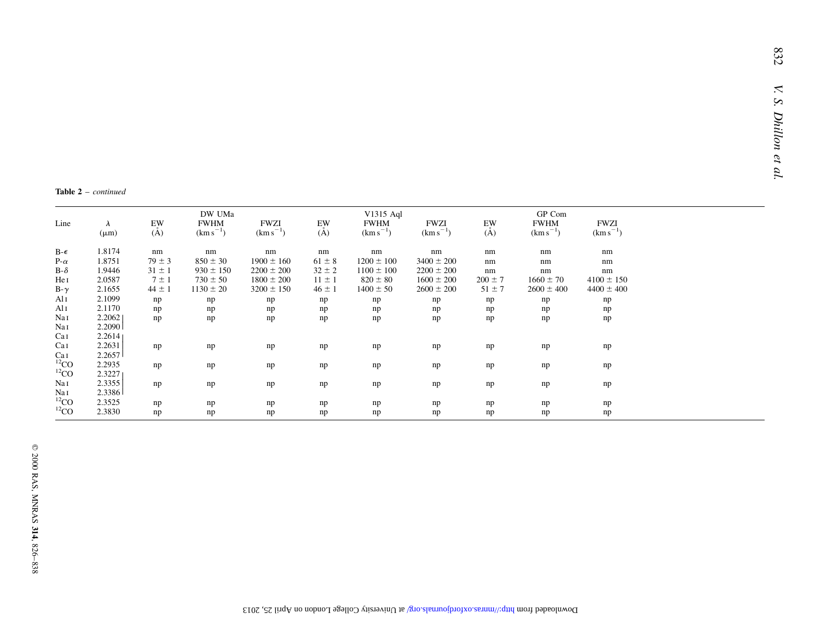**Table 2**  $-$  continued

| Line         | $\lambda$<br>$(\mu m)$ | EW<br>$(\AA)$ | DW UMa<br><b>FWHM</b><br>$(km s^{-1})$ | <b>FWZI</b><br>$(km s^{-1})$ | EW<br>$(\AA)$ | V1315 Aql<br><b>FWHM</b><br>$(km s^{-1})$ | <b>FWZI</b><br>$(km s^{-1})$ | EW<br>$(\tilde{A})$ | GP Com<br><b>FWHM</b><br>$(km s^{-1})$ | <b>FWZI</b><br>$(km s^{-1})$ |
|--------------|------------------------|---------------|----------------------------------------|------------------------------|---------------|-------------------------------------------|------------------------------|---------------------|----------------------------------------|------------------------------|
| $B-\epsilon$ | 1.8174                 | nm            | nm                                     | nm                           | nm            | nm                                        | nm                           | nm                  | nm                                     | nm                           |
| $P-\alpha$   | 1.8751                 | $79 \pm 3$    | $850 \pm 30$                           | $1900 \pm 160$               | $61 \pm 8$    | $1200 \pm 100$                            | $3400 \pm 200$               | nm                  | nm                                     | nm                           |
| $B-\delta$   | 1.9446                 | $31 \pm 1$    | $930 \pm 150$                          | $2200 \pm 200$               | $32 \pm 2$    | $1100 \pm 100$                            | $2200 \pm 200$               | nm                  | nm                                     | nm                           |
| He I         | 2.0587                 | $7 \pm 1$     | $730 \pm 50$                           | $1800 \pm 200$               | $11 \pm 1$    | $820 \pm 80$                              | $1600 \pm 200$               | $200 \pm 7$         | $1660 \pm 70$                          | $4100 \pm 150$               |
| $B-\gamma$   | 2.1655                 | $44 \pm 1$    | $1130 \pm 20$                          | $3200 \pm 150$               | $46 \pm 1$    | $1400 \pm 50$                             | $2600 \pm 200$               | $51 \pm 7$          | $2600 \pm 400$                         | $4400 \pm 400$               |
| Al 1         | 2.1099                 | np            | np                                     | np                           | np            | np                                        | np                           | np                  | np                                     | np                           |
| Al 1         | 2.1170                 | np            | np                                     | np                           | np            | np                                        | np                           | np                  | np                                     | np                           |
| Nai          | 2.2062                 | np            | np                                     | np                           | np            | np                                        | np                           | np                  | np                                     | np                           |
| Nai          | 2.2090                 |               |                                        |                              |               |                                           |                              |                     |                                        |                              |
| Cal          | 2.2614                 |               |                                        |                              |               |                                           |                              |                     |                                        |                              |
| Cal          | 2.2631                 | np            | np                                     | np                           | np            | np                                        | np                           | np                  | np                                     | np                           |
| Ca I         | 2.2657                 |               |                                        |                              |               |                                           |                              |                     |                                        |                              |
| ${}^{12}CO$  | 2.2935                 | np            | np                                     | np                           | np            | np                                        | np                           | np                  | np                                     | np                           |
| ${}^{12}CO$  | 2.3227                 |               |                                        |                              |               |                                           |                              |                     |                                        |                              |
| Nai          | 2.3355                 | np            | np                                     | np                           | np            | np                                        | np                           | np                  | np                                     | np                           |
| Nai          | 2.3386                 |               |                                        |                              |               |                                           |                              |                     |                                        |                              |
| ${}^{12}CO$  | 2.3525                 | np            | np                                     | np                           | np            | np                                        | np                           | np                  | np                                     | np                           |
| ${}^{12}CO$  | 2.3830                 | np            | np                                     | np                           | np            | np                                        | np                           | np                  | np                                     | np                           |
|              |                        |               |                                        |                              |               |                                           |                              |                     |                                        |                              |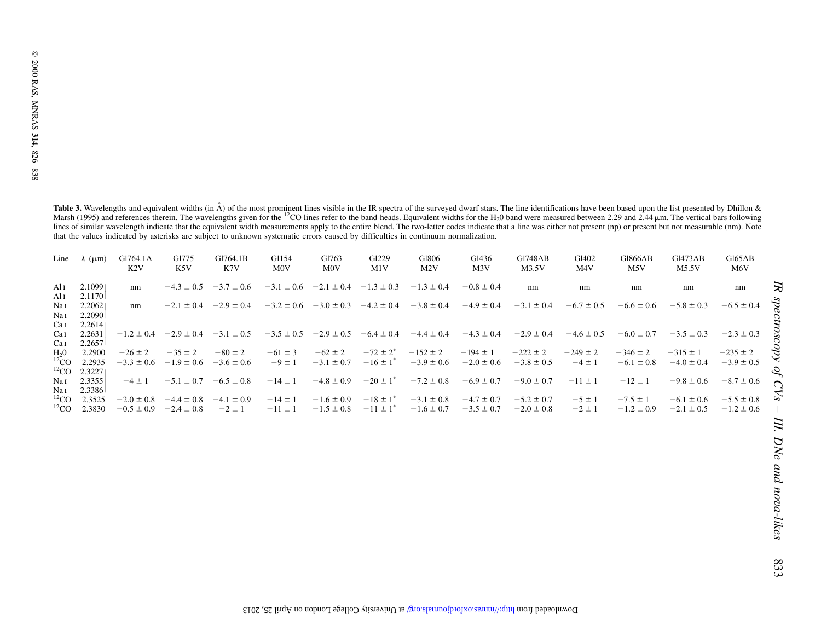Table 3. Wavelengths and equivalent widths (in  $\AA$ ) of the most prominent lines visible in the IR spectra of the surveyed dwarf stars. The line identifications have been based upon the list presented by Dhillon & Marsh ( lines of similar wavelength indicate that the equivalent width measurements apply to the entire blend. The two-letter codes indicate that a line was either not present (np) or present but not measurable (nm). Note that the values indicated by asterisks are subject to unknown systematic errors caused by difficulties in continuum normalization.

| Line                                 | $\lambda$ ( $\mu$ m)        | G1764.1A<br>K2V                  | G1775<br>K5V                     | G1764.1B<br>K7V               | G1154<br><b>MOV</b>        | G1763<br><b>MOV</b>              | G <sub>1229</sub><br>M1V                             | G1806<br>M2V                     | G1436<br>M3V                     | <b>G1748AB</b><br>M3.5V          | G1402<br>M <sub>4</sub> V  | <b>G1866AB</b><br>M5V          | Gl473AB<br>M5.5V                 | G165AB<br>M <sub>6</sub> V       |
|--------------------------------------|-----------------------------|----------------------------------|----------------------------------|-------------------------------|----------------------------|----------------------------------|------------------------------------------------------|----------------------------------|----------------------------------|----------------------------------|----------------------------|--------------------------------|----------------------------------|----------------------------------|
| Ali<br>Ali                           | 2.10991<br>2.1170           | nm                               | $-4.3 \pm 0.5$                   | $-3.7 \pm 0.6$                | $-3.1 \pm 0.6$             | $-2.1 \pm 0.4$                   | $-1.3 \pm 0.3$                                       | $-1.3 \pm 0.4$                   | $-0.8 \pm 0.4$                   | nm                               | nm                         | nm                             | nm                               | nm                               |
| Nai<br>Na 1                          | 2.20621<br>2.2090           | nm                               | $-2.1 \pm 0.4$                   | $-2.9 \pm 0.4$                | $-3.2 \pm 0.6$             | $-3.0 \pm 0.3$                   | $-4.2 \pm 0.4$                                       | $-3.8 \pm 0.4$                   | $-4.9 \pm 0.4$                   | $-3.1 \pm 0.4$                   | $-6.7 \pm 0.5$             | $-6.6 \pm 0.6$                 | $-5.8 \pm 0.3$                   | $-6.5 \pm 0.4$                   |
| Cal<br>Cal                           | 2.26141<br>2.2631           | $-1.2 \pm 0.4$                   | $-2.9 \pm 0.4$                   | $-3.1 \pm 0.5$                | $-3.5 \pm 0.5$             | $-2.9 \pm 0.5$                   | $-6.4 \pm 0.4$                                       | $-4.4 \pm 0.4$                   | $-4.3 \pm 0.4$                   | $-2.9 \pm 0.4$                   | $-4.6 \pm 0.5$             | $-6.0 \pm 0.7$                 | $-3.5 \pm 0.3$                   | $-2.3 \pm 0.3$                   |
| Cal<br>H <sub>2</sub> 0<br>$^{12}CO$ | 2.2657<br>2.2900<br>2.2935  | $-26 \pm 2$<br>$-3.3 \pm 0.6$    | $-35 \pm 2$<br>$-1.9 \pm 0.6$    | $-80 \pm 2$<br>$-3.6 \pm 0.6$ | $-61 \pm 3$<br>$-9 \pm 1$  | $-62 \pm 2$<br>$-3.1 \pm 0.7$    | $-72 \pm 2^{*}$<br>$-16 \pm 1$ <sup>*</sup>          | $-152 \pm 2$<br>$-3.9 \pm 0.6$   | $-194 \pm 1$<br>$-2.0 \pm 0.6$   | $-222 \pm 2$<br>$-3.8 \pm 0.5$   | $-249 \pm 2$<br>$-4 \pm 1$ | $-346 \pm 2$<br>$-6.1 \pm 0.8$ | $-315 \pm 1$<br>$-4.0 \pm 0.4$   | $-235 \pm 2$<br>$-3.9 \pm 0.5$   |
| ${}^{12}CO$<br>Nai<br>Nai            | 2.32271<br>2.3355<br>2.3386 | $-4 \pm 1$                       | $-5.1 \pm 0.7$                   | $-6.5 \pm 0.8$                | $-14 \pm 1$                | $-4.8 \pm 0.9$                   | $-20 \pm 1^*$                                        | $-7.2 \pm 0.8$                   | $-6.9 \pm 0.7$                   | $-9.0 \pm 0.7$                   | $-11 \pm 1$                | $-12 \pm 1$                    | $-9.8 \pm 0.6$                   | $-8.7 \pm 0.6$                   |
| ${}^{12}CO$<br>${}^{12}CO$           | 2.3525<br>2.3830            | $-2.0 \pm 0.8$<br>$-0.5 \pm 0.9$ | $-4.4 \pm 0.8$<br>$-2.4 \pm 0.8$ | $-4.1 \pm 0.9$<br>$-2 \pm 1$  | $-14 \pm 1$<br>$-11 \pm 1$ | $-1.6 \pm 0.9$<br>$-1.5 \pm 0.8$ | $-18 \pm 1$ <sup>*</sup><br>$-11 \pm 1$ <sup>*</sup> | $-3.1 \pm 0.8$<br>$-1.6 \pm 0.7$ | $-4.7 \pm 0.7$<br>$-3.5 \pm 0.7$ | $-5.2 \pm 0.7$<br>$-2.0 \pm 0.8$ | $-5 \pm 1$<br>$-2 \pm 1$   | $-7.5 \pm 1$<br>$-1.2 \pm 0.9$ | $-6.1 \pm 0.6$<br>$-2.1 \pm 0.5$ | $-5.5 \pm 0.8$<br>$-1.2 \pm 0.6$ |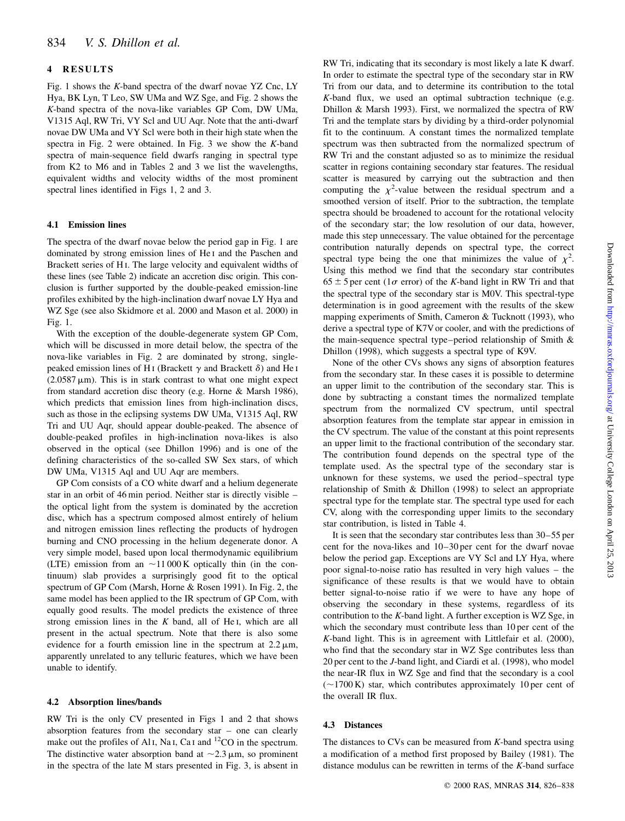# 4 RESULTS

Fig. 1 shows the K-band spectra of the dwarf novae YZ Cnc, LY Hya, BK Lyn, T Leo, SW UMa and WZ Sge, and Fig. 2 shows the K-band spectra of the nova-like variables GP Com, DW UMa, V1315 Aql, RW Tri, VY Scl and UU Aqr. Note that the anti-dwarf novae DW UMa and VY Scl were both in their high state when the spectra in Fig. 2 were obtained. In Fig. 3 we show the K-band spectra of main-sequence field dwarfs ranging in spectral type from K2 to M6 and in Tables 2 and 3 we list the wavelengths, equivalent widths and velocity widths of the most prominent spectral lines identified in Figs 1, 2 and 3.

# 4.1 Emission lines

The spectra of the dwarf novae below the period gap in Fig. 1 are dominated by strong emission lines of He i and the Paschen and Brackett series of H<sub>I</sub>. The large velocity and equivalent widths of these lines (see Table 2) indicate an accretion disc origin. This conclusion is further supported by the double-peaked emission-line profiles exhibited by the high-inclination dwarf novae LY Hya and WZ Sge (see also Skidmore et al. 2000 and Mason et al. 2000) in Fig. 1.

With the exception of the double-degenerate system GP Com, which will be discussed in more detail below, the spectra of the nova-like variables in Fig. 2 are dominated by strong, singlepeaked emission lines of H<sub>I</sub> (Brackett  $\gamma$  and Brackett  $\delta$ ) and He<sub>I</sub>  $(2.0587 \,\mu\text{m})$ . This is in stark contrast to what one might expect from standard accretion disc theory (e.g. Horne & Marsh 1986), which predicts that emission lines from high-inclination discs, such as those in the eclipsing systems DW UMa, V1315 Aql, RW Tri and UU Aqr, should appear double-peaked. The absence of double-peaked profiles in high-inclination nova-likes is also observed in the optical (see Dhillon 1996) and is one of the defining characteristics of the so-called SW Sex stars, of which DW UMa, V1315 Aql and UU Aqr are members.

GP Com consists of a CO white dwarf and a helium degenerate star in an orbit of  $46$  min period. Neither star is directly visible  $$ the optical light from the system is dominated by the accretion disc, which has a spectrum composed almost entirely of helium and nitrogen emission lines reflecting the products of hydrogen burning and CNO processing in the helium degenerate donor. A very simple model, based upon local thermodynamic equilibrium (LTE) emission from an  $\sim$ 11000 K optically thin (in the continuum) slab provides a surprisingly good fit to the optical spectrum of GP Com (Marsh, Horne & Rosen 1991). In Fig. 2, the same model has been applied to the IR spectrum of GP Com, with equally good results. The model predicts the existence of three strong emission lines in the  $K$  band, all of He I, which are all present in the actual spectrum. Note that there is also some evidence for a fourth emission line in the spectrum at  $2.2 \mu m$ , apparently unrelated to any telluric features, which we have been unable to identify.

# 4.2 Absorption lines/bands

RW Tri is the only CV presented in Figs 1 and 2 that shows absorption features from the secondary star  $-$  one can clearly make out the profiles of Al<sub>I</sub>, Na<sub>I</sub>, Ca<sub>I</sub> and <sup>12</sup>CO in the spectrum. The distinctive water absorption band at  $\sim$ 2.3  $\mu$ m, so prominent in the spectra of the late M stars presented in Fig. 3, is absent in RW Tri, indicating that its secondary is most likely a late K dwarf. In order to estimate the spectral type of the secondary star in RW Tri from our data, and to determine its contribution to the total K-band flux, we used an optimal subtraction technique (e.g. Dhillon & Marsh 1993). First, we normalized the spectra of RW Tri and the template stars by dividing by a third-order polynomial fit to the continuum. A constant times the normalized template spectrum was then subtracted from the normalized spectrum of RW Tri and the constant adjusted so as to minimize the residual scatter in regions containing secondary star features. The residual scatter is measured by carrying out the subtraction and then computing the  $\chi^2$ -value between the residual spectrum and a smoothed version of itself. Prior to the subtraction, the template spectra should be broadened to account for the rotational velocity of the secondary star; the low resolution of our data, however, made this step unnecessary. The value obtained for the percentage contribution naturally depends on spectral type, the correct spectral type being the one that minimizes the value of  $\chi^2$ . Using this method we find that the secondary star contributes  $65 \pm 5$  per cent (1 $\sigma$  error) of the K-band light in RW Tri and that the spectral type of the secondary star is M0V. This spectral-type determination is in good agreement with the results of the skew mapping experiments of Smith, Cameron & Tucknott (1993), who derive a spectral type of K7V or cooler, and with the predictions of the main-sequence spectral type-period relationship of Smith  $\&$ Dhillon (1998), which suggests a spectral type of K9V.

None of the other CVs shows any signs of absorption features from the secondary star. In these cases it is possible to determine an upper limit to the contribution of the secondary star. This is done by subtracting a constant times the normalized template spectrum from the normalized CV spectrum, until spectral absorption features from the template star appear in emission in the CV spectrum. The value of the constant at this point represents an upper limit to the fractional contribution of the secondary star. The contribution found depends on the spectral type of the template used. As the spectral type of the secondary star is unknown for these systems, we used the period-spectral type relationship of Smith & Dhillon (1998) to select an appropriate spectral type for the template star. The spectral type used for each CV, along with the corresponding upper limits to the secondary star contribution, is listed in Table 4.

It is seen that the secondary star contributes less than 30–55 per cent for the nova-likes and 10-30 per cent for the dwarf novae below the period gap. Exceptions are VY Scl and LY Hya, where poor signal-to-noise ratio has resulted in very high values - the significance of these results is that we would have to obtain better signal-to-noise ratio if we were to have any hope of observing the secondary in these systems, regardless of its contribution to the  $K$ -band light. A further exception is  $WZ$  Sge, in which the secondary must contribute less than 10 per cent of the K-band light. This is in agreement with Littlefair et al. (2000), who find that the secondary star in WZ Sge contributes less than 20 per cent to the J-band light, and Ciardi et al. (1998), who model the near-IR flux in WZ Sge and find that the secondary is a cool  $(-1700 \text{ K})$  star, which contributes approximately 10 per cent of the overall IR flux.

# 4.3 Distances

The distances to CVs can be measured from  $K$ -band spectra using a modification of a method first proposed by Bailey (1981). The distance modulus can be rewritten in terms of the K-band surface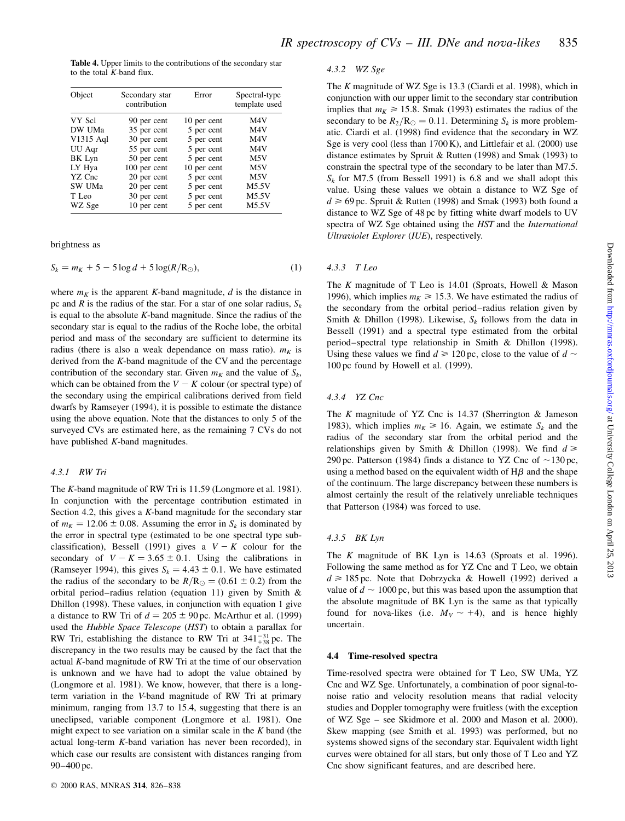Table 4. Upper limits to the contributions of the secondary star to the total  $K$ -band flux.

| Object    | Secondary star<br>contribution | Error       | Spectral-type<br>template used |
|-----------|--------------------------------|-------------|--------------------------------|
| VY Scl    | 90 per cent                    | 10 per cent | M <sub>4</sub> V               |
| DW UMa    | 35 per cent                    | 5 per cent  | M <sub>4</sub> V               |
| V1315 Aql | 30 per cent                    | 5 per cent  | M <sub>4</sub> V               |
| UU Aqr    | 55 per cent                    | 5 per cent  | M <sub>4</sub> V               |
| BK Lyn    | 50 per cent                    | 5 per cent  | M5V                            |
| LY Hya    | 100 per cent                   | 10 per cent | M5V                            |
| YZ Cnc    | 20 per cent                    | 5 per cent  | M5V                            |
| SW UMa    | 20 per cent                    | 5 per cent  | M5.5V                          |
| T Leo     | 30 per cent                    | 5 per cent  | M5.5V                          |
| WZ Sge    | 10 per cent                    | 5 per cent  | M5.5V                          |

brightness as

$$
S_k = m_K + 5 - 5\log d + 5\log(R/R_\odot),\tag{1}
$$

where  $m<sub>K</sub>$  is the apparent K-band magnitude, d is the distance in pc and R is the radius of the star. For a star of one solar radius,  $S_k$ is equal to the absolute  $K$ -band magnitude. Since the radius of the secondary star is equal to the radius of the Roche lobe, the orbital period and mass of the secondary are sufficient to determine its radius (there is also a weak dependance on mass ratio).  $m<sub>K</sub>$  is derived from the K-band magnitude of the CV and the percentage contribution of the secondary star. Given  $m_K$  and the value of  $S_k$ , which can be obtained from the  $V - K$  colour (or spectral type) of the secondary using the empirical calibrations derived from field dwarfs by Ramseyer (1994), it is possible to estimate the distance using the above equation. Note that the distances to only 5 of the surveyed CVs are estimated here, as the remaining 7 CVs do not have published  $K$ -band magnitudes.

#### 4.3.1 RW Tri

The K-band magnitude of RW Tri is 11.59 (Longmore et al. 1981). In conjunction with the percentage contribution estimated in Section 4.2, this gives a  $K$ -band magnitude for the secondary star of  $m<sub>K</sub> = 12.06 \pm 0.08$ . Assuming the error in  $S<sub>k</sub>$  is dominated by the error in spectral type (estimated to be one spectral type subclassification), Bessell (1991) gives a  $V - K$  colour for the secondary of  $V - K = 3.65 \pm 0.1$ . Using the calibrations in (Ramseyer 1994), this gives  $S_k = 4.43 \pm 0.1$ . We have estimated the radius of the secondary to be  $R/R_{\odot} = (0.61 \pm 0.2)$  from the orbital period-radius relation (equation 11) given by Smith  $&$ Dhillon (1998). These values, in conjunction with equation 1 give a distance to RW Tri of  $d = 205 \pm 90$  pc. McArthur et al. (1999) used the Hubble Space Telescope (HST) to obtain a parallax for RW Tri, establishing the distance to RW Tri at  $341_{+38}^{-31}$  pc. The discrepancy in the two results may be caused by the fact that the actual K-band magnitude of RW Tri at the time of our observation is unknown and we have had to adopt the value obtained by (Longmore et al. 1981). We know, however, that there is a longterm variation in the V-band magnitude of RW Tri at primary minimum, ranging from 13.7 to 15.4, suggesting that there is an uneclipsed, variable component (Longmore et al. 1981). One might expect to see variation on a similar scale in the  $K$  band (the actual long-term K-band variation has never been recorded), in which case our results are consistent with distances ranging from 90-400 pc.

#### 4.3.2 WZ Sge

The K magnitude of WZ Sge is 13.3 (Ciardi et al. 1998), which in conjunction with our upper limit to the secondary star contribution implies that  $m_K \ge 15.8$ . Smak (1993) estimates the radius of the secondary to be  $R_2/R_{\odot} = 0.11$ . Determining  $S_k$  is more problematic. Ciardi et al. (1998) find evidence that the secondary in WZ Sge is very cool (less than 1700 K), and Littlefair et al. (2000) use distance estimates by Spruit & Rutten (1998) and Smak (1993) to constrain the spectral type of the secondary to be later than M7.5.  $S_k$  for M7.5 (from Bessell 1991) is 6.8 and we shall adopt this value. Using these values we obtain a distance to WZ Sge of  $d \ge 69$  pc. Spruit & Rutten (1998) and Smak (1993) both found a distance to WZ Sge of 48 pc by fitting white dwarf models to UV spectra of WZ Sge obtained using the HST and the International Ultraviolet Explorer (IUE), respectively.

## 4.3.3 T Leo

The K magnitude of T Leo is  $14.01$  (Sproats, Howell & Mason 1996), which implies  $m<sub>K</sub> \ge 15.3$ . We have estimated the radius of the secondary from the orbital period-radius relation given by Smith & Dhillon (1998). Likewise,  $S_k$  follows from the data in Bessell (1991) and a spectral type estimated from the orbital period-spectral type relationship in Smith & Dhillon (1998). Using these values we find  $d \ge 120$  pc, close to the value of  $d \sim$ 100 pc found by Howell et al. (1999).

#### 4.3.4 YZ Cnc

The K magnitude of YZ Cnc is  $14.37$  (Sherrington & Jameson 1983), which implies  $m_K \ge 16$ . Again, we estimate  $S_k$  and the radius of the secondary star from the orbital period and the relationships given by Smith & Dhillon (1998). We find  $d \geq$ 290 pc. Patterson (1984) finds a distance to YZ Cnc of  $\sim$ 130 pc, using a method based on the equivalent width of  $H\beta$  and the shape of the continuum. The large discrepancy between these numbers is almost certainly the result of the relatively unreliable techniques that Patterson (1984) was forced to use.

#### 4.3.5 BK Lyn

The K magnitude of BK Lyn is 14.63 (Sproats et al. 1996). Following the same method as for YZ Cnc and T Leo, we obtain  $d \ge 185$  pc. Note that Dobrzycka & Howell (1992) derived a value of  $d \sim 1000$  pc, but this was based upon the assumption that the absolute magnitude of BK Lyn is the same as that typically found for nova-likes (i.e.  $M_V \sim +4$ ), and is hence highly uncertain.

#### 4.4 Time-resolved spectra

Time-resolved spectra were obtained for T Leo, SW UMa, YZ Cnc and WZ Sge. Unfortunately, a combination of poor signal-tonoise ratio and velocity resolution means that radial velocity studies and Doppler tomography were fruitless (with the exception of WZ Sge – see Skidmore et al. 2000 and Mason et al. 2000). Skew mapping (see Smith et al. 1993) was performed, but no systems showed signs of the secondary star. Equivalent width light curves were obtained for all stars, but only those of T Leo and YZ Cnc show significant features, and are described here.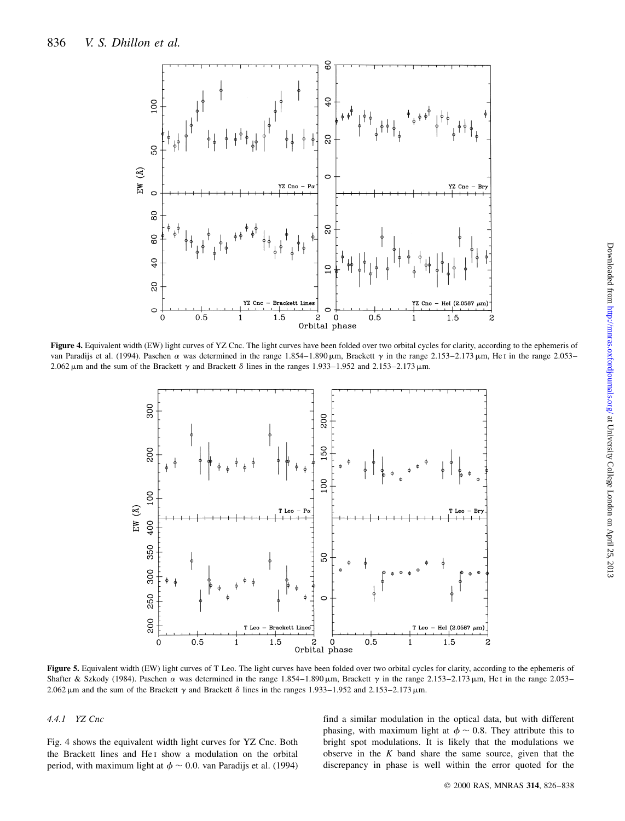

Figure 4. Equivalent width (EW) light curves of YZ Cnc. The light curves have been folded over two orbital cycles for clarity, according to the ephemeris of van Paradijs et al. (1994). Paschen  $\alpha$  was determined in the range 1.854-1.890  $\mu$ m, Brackett  $\gamma$  in the range 2.153-2.173  $\mu$ m, He i in the range 2.053-2.062  $\mu$ m and the sum of the Brackett  $\gamma$  and Brackett  $\delta$  lines in the ranges 1.933–1.952 and 2.153–2.173 $\mu$ m.



Figure 5. Equivalent width (EW) light curves of T Leo. The light curves have been folded over two orbital cycles for clarity, according to the ephemeris of Shafter & Szkody (1984). Paschen  $\alpha$  was determined in the range 1.854-1.890  $\mu$ m, Brackett  $\gamma$  in the range 2.153-2.173  $\mu$ m, He I in the range 2.053-2.062  $\mu$ m and the sum of the Brackett  $\gamma$  and Brackett  $\delta$  lines in the ranges 1.933–1.952 and 2.153–2.173  $\mu$ m.

### 4.4.1 YZ Cnc

Fig. 4 shows the equivalent width light curves for YZ Cnc. Both the Brackett lines and He<sub>I</sub> show a modulation on the orbital period, with maximum light at  $\phi \sim 0.0$ . van Paradijs et al. (1994) find a similar modulation in the optical data, but with different phasing, with maximum light at  $\phi \sim 0.8$ . They attribute this to bright spot modulations. It is likely that the modulations we observe in the  $K$  band share the same source, given that the discrepancy in phase is well within the error quoted for the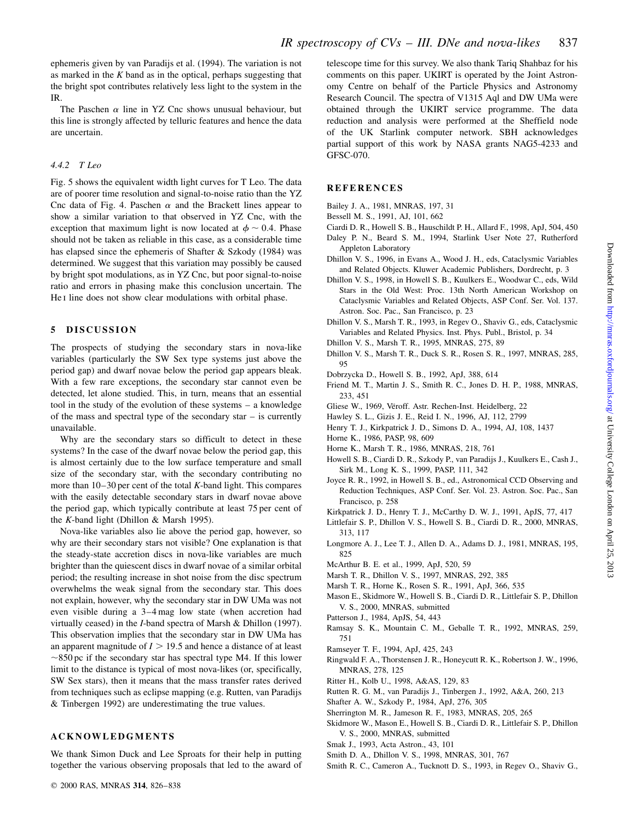ephemeris given by van Paradijs et al. (1994). The variation is not as marked in the  $K$  band as in the optical, perhaps suggesting that the bright spot contributes relatively less light to the system in the IR.

The Paschen  $\alpha$  line in YZ Cnc shows unusual behaviour, but this line is strongly affected by telluric features and hence the data are uncertain.

## 4.4.2 T Leo

Fig. 5 shows the equivalent width light curves for T Leo. The data are of poorer time resolution and signal-to-noise ratio than the YZ Cnc data of Fig. 4. Paschen  $\alpha$  and the Brackett lines appear to show a similar variation to that observed in YZ Cnc, with the exception that maximum light is now located at  $\phi \sim 0.4$ . Phase should not be taken as reliable in this case, as a considerable time has elapsed since the ephemeris of Shafter & Szkody (1984) was determined. We suggest that this variation may possibly be caused by bright spot modulations, as in YZ Cnc, but poor signal-to-noise ratio and errors in phasing make this conclusion uncertain. The He I line does not show clear modulations with orbital phase.

## 5 DISCUSSION

The prospects of studying the secondary stars in nova-like variables (particularly the SW Sex type systems just above the period gap) and dwarf novae below the period gap appears bleak. With a few rare exceptions, the secondary star cannot even be detected, let alone studied. This, in turn, means that an essential tool in the study of the evolution of these systems  $-$  a knowledge of the mass and spectral type of the secondary star  $-$  is currently unavailable.

Why are the secondary stars so difficult to detect in these systems? In the case of the dwarf novae below the period gap, this is almost certainly due to the low surface temperature and small size of the secondary star, with the secondary contributing no more than  $10-30$  per cent of the total K-band light. This compares with the easily detectable secondary stars in dwarf novae above the period gap, which typically contribute at least 75 per cent of the K-band light (Dhillon & Marsh 1995).

Nova-like variables also lie above the period gap, however, so why are their secondary stars not visible? One explanation is that the steady-state accretion discs in nova-like variables are much brighter than the quiescent discs in dwarf novae of a similar orbital period; the resulting increase in shot noise from the disc spectrum overwhelms the weak signal from the secondary star. This does not explain, however, why the secondary star in DW UMa was not even visible during a 3–4 mag low state (when accretion had virtually ceased) in the I-band spectra of Marsh & Dhillon (1997). This observation implies that the secondary star in DW UMa has an apparent magnitude of  $I > 19.5$  and hence a distance of at least  $\sim$ 850 pc if the secondary star has spectral type M4. If this lower limit to the distance is typical of most nova-likes (or, specifically, SW Sex stars), then it means that the mass transfer rates derived from techniques such as eclipse mapping (e.g. Rutten, van Paradijs & Tinbergen 1992) are underestimating the true values.

## ACKNOWLEDGMENTS

We thank Simon Duck and Lee Sproats for their help in putting together the various observing proposals that led to the award of telescope time for this survey. We also thank Tariq Shahbaz for his comments on this paper. UKIRT is operated by the Joint Astronomy Centre on behalf of the Particle Physics and Astronomy Research Council. The spectra of V1315 Aql and DW UMa were obtained through the UKIRT service programme. The data reduction and analysis were performed at the Sheffield node of the UK Starlink computer network. SBH acknowledges partial support of this work by NASA grants NAG5-4233 and GFSC-070.

### **REFERENCES**

Bailey J. A., 1981, MNRAS, 197, 31

- Bessell M. S., 1991, AJ, 101, 662
- Ciardi D. R., Howell S. B., Hauschildt P. H., Allard F., 1998, ApJ, 504, 450
- Daley P. N., Beard S. M., 1994, Starlink User Note 27, Rutherford Appleton Laboratory
- Dhillon V. S., 1996, in Evans A., Wood J. H., eds, Cataclysmic Variables and Related Objects. Kluwer Academic Publishers, Dordrecht, p. 3
- Dhillon V. S., 1998, in Howell S. B., Kuulkers E., Woodwar C., eds, Wild Stars in the Old West: Proc. 13th North American Workshop on Cataclysmic Variables and Related Objects, ASP Conf. Ser. Vol. 137. Astron. Soc. Pac., San Francisco, p. 23
- Dhillon V. S., Marsh T. R., 1993, in Regev O., Shaviv G., eds, Cataclysmic Variables and Related Physics. Inst. Phys. Publ., Bristol, p. 34
- Dhillon V. S., Marsh T. R., 1995, MNRAS, 275, 89
- Dhillon V. S., Marsh T. R., Duck S. R., Rosen S. R., 1997, MNRAS, 285, 95
- Dobrzycka D., Howell S. B., 1992, ApJ, 388, 614
- Friend M. T., Martin J. S., Smith R. C., Jones D. H. P., 1988, MNRAS, 233, 451
- Gliese W., 1969, Vëroff. Astr. Rechen-Inst. Heidelberg, 22
- Hawley S. L., Gizis J. E., Reid I. N., 1996, AJ, 112, 2799
- Henry T. J., Kirkpatrick J. D., Simons D. A., 1994, AJ, 108, 1437
- Horne K., 1986, PASP, 98, 609
- Horne K., Marsh T. R., 1986, MNRAS, 218, 761
- Howell S. B., Ciardi D. R., Szkody P., van Paradijs J., Kuulkers E., Cash J., Sirk M., Long K. S., 1999, PASP, 111, 342
- Joyce R. R., 1992, in Howell S. B., ed., Astronomical CCD Observing and Reduction Techniques, ASP Conf. Ser. Vol. 23. Astron. Soc. Pac., San Francisco, p. 258
- Kirkpatrick J. D., Henry T. J., McCarthy D. W. J., 1991, ApJS, 77, 417
- Littlefair S. P., Dhillon V. S., Howell S. B., Ciardi D. R., 2000, MNRAS, 313, 117
- Longmore A. J., Lee T. J., Allen D. A., Adams D. J., 1981, MNRAS, 195, 825
- McArthur B. E. et al., 1999, ApJ, 520, 59
- Marsh T. R., Dhillon V. S., 1997, MNRAS, 292, 385
- Marsh T. R., Horne K., Rosen S. R., 1991, ApJ, 366, 535
- Mason E., Skidmore W., Howell S. B., Ciardi D. R., Littlefair S. P., Dhillon V. S., 2000, MNRAS, submitted
- Patterson J., 1984, ApJS, 54, 443
- Ramsay S. K., Mountain C. M., Geballe T. R., 1992, MNRAS, 259, 751
- Ramseyer T. F., 1994, ApJ, 425, 243
- Ringwald F. A., Thorstensen J. R., Honeycutt R. K., Robertson J. W., 1996, MNRAS, 278, 125
- Ritter H., Kolb U., 1998, A&AS, 129, 83
- Rutten R. G. M., van Paradijs J., Tinbergen J., 1992, A&A, 260, 213
- Shafter A. W., Szkody P., 1984, ApJ, 276, 305
- Sherrington M. R., Jameson R. F., 1983, MNRAS, 205, 265
- Skidmore W., Mason E., Howell S. B., Ciardi D. R., Littlefair S. P., Dhillon V. S., 2000, MNRAS, submitted
- Smak J., 1993, Acta Astron., 43, 101
- Smith D. A., Dhillon V. S., 1998, MNRAS, 301, 767
- Smith R. C., Cameron A., Tucknott D. S., 1993, in Regev O., Shaviv G.,